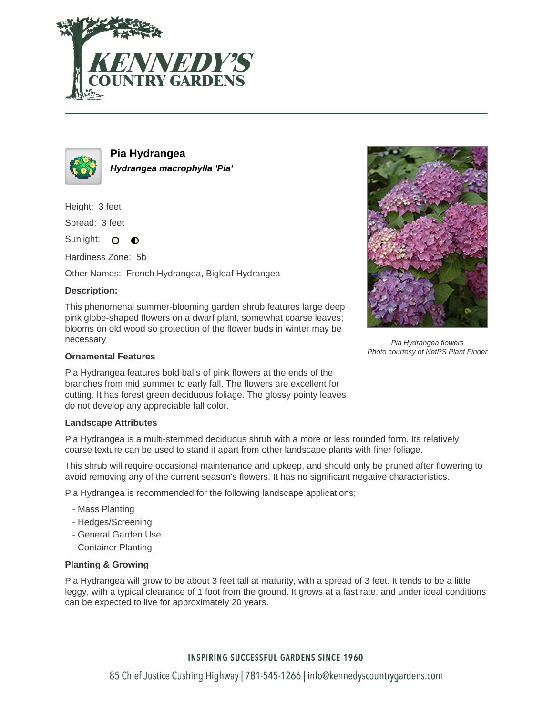



**Pia Hydrangea Hydrangea macrophylla 'Pia'**

Height: 3 feet

Spread: 3 feet

Sunlight: O  $\bullet$ 

Hardiness Zone: 5b

Other Names: French Hydrangea, Bigleaf Hydrangea

## **Description:**

This phenomenal summer-blooming garden shrub features large deep pink globe-shaped flowers on a dwarf plant, somewhat coarse leaves; blooms on old wood so protection of the flower buds in winter may be necessary

### **Ornamental Features**

Pia Hydrangea features bold balls of pink flowers at the ends of the branches from mid summer to early fall. The flowers are excellent for cutting. It has forest green deciduous foliage. The glossy pointy leaves do not develop any appreciable fall color.

#### **Landscape Attributes**

Pia Hydrangea is a multi-stemmed deciduous shrub with a more or less rounded form. Its relatively coarse texture can be used to stand it apart from other landscape plants with finer foliage.

This shrub will require occasional maintenance and upkeep, and should only be pruned after flowering to avoid removing any of the current season's flowers. It has no significant negative characteristics.

Pia Hydrangea is recommended for the following landscape applications;

- Mass Planting
- Hedges/Screening
- General Garden Use
- Container Planting

## **Planting & Growing**

Pia Hydrangea will grow to be about 3 feet tall at maturity, with a spread of 3 feet. It tends to be a little leggy, with a typical clearance of 1 foot from the ground. It grows at a fast rate, and under ideal conditions can be expected to live for approximately 20 years.

# **INSPIRING SUCCESSFUL GARDENS SINCE 1960**



Pia Hydrangea flowers Photo courtesy of NetPS Plant Finder